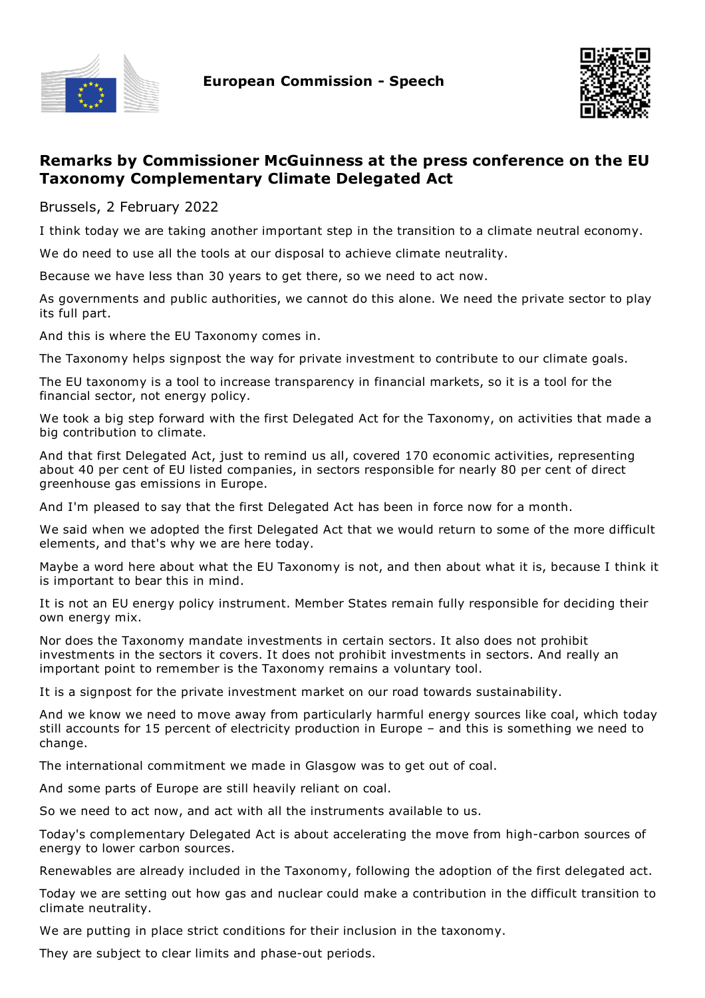



## **Remarks by Commissioner McGuinness at the press conference on the EU Taxonomy Complementary Climate Delegated Act**

Brussels, 2 February 2022

I think today we are taking another important step in the transition to a climate neutral economy.

We do need to use all the tools at our disposal to achieve climate neutrality.

Because we have less than 30 years to get there, so we need to act now.

As governments and public authorities, we cannot do this alone. We need the private sector to play its full part.

And this is where the EU Taxonomy comes in.

The Taxonomy helps signpost the way for private investment to contribute to our climate goals.

The EU taxonomy is a tool to increase transparency in financial markets, so it is a tool for the financial sector, not energy policy.

We took a big step forward with the first Delegated Act for the Taxonomy, on activities that made a big contribution to climate.

And that first Delegated Act, just to remind us all, covered 170 economic activities, representing about 40 per cent of EU listed companies, in sectors responsible for nearly 80 per cent of direct greenhouse gas emissions in Europe.

And I'm pleased to say that the first Delegated Act has been in force now for a month.

We said when we adopted the first Delegated Act that we would return to some of the more difficult elements, and that's why we are here today.

Maybe a word here about what the EU Taxonomy is not, and then about what it is, because I think it is important to bear this in mind.

It is not an EU energy policy instrument. Member States remain fully responsible for deciding their own energy mix.

Nor does the Taxonomy mandate investments in certain sectors. It also does not prohibit investments in the sectors it covers. It does not prohibit investments in sectors. And really an important point to remember is the Taxonomy remains a voluntary tool.

It is a signpost for the private investment market on our road towards sustainability.

And we know we need to move away from particularly harmful energy sources like coal, which today still accounts for 15 percent of electricity production in Europe – and this is something we need to change.

The international commitment we made in Glasgow was to get out of coal.

And some parts of Europe are still heavily reliant on coal.

So we need to act now, and act with all the instruments available to us.

Today's complementary Delegated Act is about accelerating the move from high-carbon sources of energy to lower carbon sources.

Renewables are already included in the Taxonomy, following the adoption of the first delegated act.

Today we are setting out how gas and nuclear could make a contribution in the difficult transition to climate neutrality.

We are putting in place strict conditions for their inclusion in the taxonomy.

They are subject to clear limits and phase-out periods.